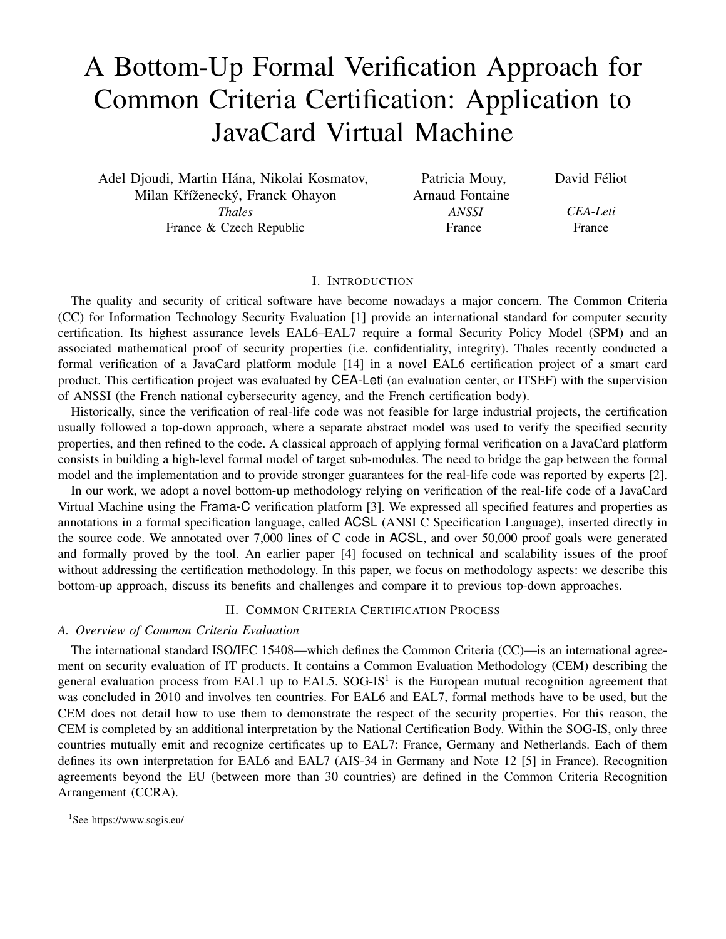# A Bottom-Up Formal Verification Approach for Common Criteria Certification: Application to JavaCard Virtual Machine

Adel Djoudi, Martin Hána, Nikolai Kosmatov, Milan Kříženecký, Franck Ohayon *Thales* France & Czech Republic

Patricia Mouy, Arnaud Fontaine *ANSSI* France

David Féliot

*CEA-Leti* France

## I. INTRODUCTION

The quality and security of critical software have become nowadays a major concern. The Common Criteria (CC) for Information Technology Security Evaluation [1] provide an international standard for computer security certification. Its highest assurance levels EAL6–EAL7 require a formal Security Policy Model (SPM) and an associated mathematical proof of security properties (i.e. confidentiality, integrity). Thales recently conducted a formal verification of a JavaCard platform module [14] in a novel EAL6 certification project of a smart card product. This certification project was evaluated by CEA-Leti (an evaluation center, or ITSEF) with the supervision of ANSSI (the French national cybersecurity agency, and the French certification body).

Historically, since the verification of real-life code was not feasible for large industrial projects, the certification usually followed a top-down approach, where a separate abstract model was used to verify the specified security properties, and then refined to the code. A classical approach of applying formal verification on a JavaCard platform consists in building a high-level formal model of target sub-modules. The need to bridge the gap between the formal model and the implementation and to provide stronger guarantees for the real-life code was reported by experts [2].

In our work, we adopt a novel bottom-up methodology relying on verification of the real-life code of a JavaCard Virtual Machine using the Frama-C verification platform [3]. We expressed all specified features and properties as annotations in a formal specification language, called ACSL (ANSI C Specification Language), inserted directly in the source code. We annotated over 7,000 lines of C code in ACSL, and over 50,000 proof goals were generated and formally proved by the tool. An earlier paper [4] focused on technical and scalability issues of the proof without addressing the certification methodology. In this paper, we focus on methodology aspects: we describe this bottom-up approach, discuss its benefits and challenges and compare it to previous top-down approaches.

## II. COMMON CRITERIA CERTIFICATION PROCESS

# *A. Overview of Common Criteria Evaluation*

The international standard ISO/IEC 15408—which defines the Common Criteria (CC)—is an international agreement on security evaluation of IT products. It contains a Common Evaluation Methodology (CEM) describing the general evaluation process from EAL1 up to EAL5.  $SOG-IS<sup>1</sup>$  is the European mutual recognition agreement that was concluded in 2010 and involves ten countries. For EAL6 and EAL7, formal methods have to be used, but the CEM does not detail how to use them to demonstrate the respect of the security properties. For this reason, the CEM is completed by an additional interpretation by the National Certification Body. Within the SOG-IS, only three countries mutually emit and recognize certificates up to EAL7: France, Germany and Netherlands. Each of them defines its own interpretation for EAL6 and EAL7 (AIS-34 in Germany and Note 12 [5] in France). Recognition agreements beyond the EU (between more than 30 countries) are defined in the Common Criteria Recognition Arrangement (CCRA).

<sup>1</sup> See https://www.sogis.eu/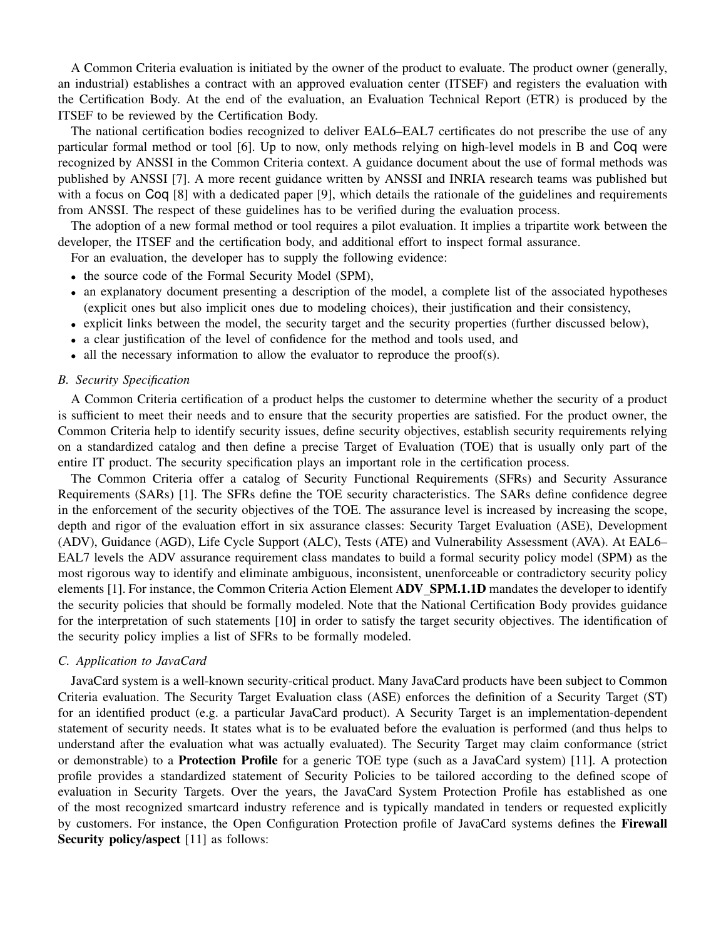A Common Criteria evaluation is initiated by the owner of the product to evaluate. The product owner (generally, an industrial) establishes a contract with an approved evaluation center (ITSEF) and registers the evaluation with the Certification Body. At the end of the evaluation, an Evaluation Technical Report (ETR) is produced by the ITSEF to be reviewed by the Certification Body.

The national certification bodies recognized to deliver EAL6–EAL7 certificates do not prescribe the use of any particular formal method or tool [6]. Up to now, only methods relying on high-level models in B and Coq were recognized by ANSSI in the Common Criteria context. A guidance document about the use of formal methods was published by ANSSI [7]. A more recent guidance written by ANSSI and INRIA research teams was published but with a focus on Coq [8] with a dedicated paper [9], which details the rationale of the guidelines and requirements from ANSSI. The respect of these guidelines has to be verified during the evaluation process.

The adoption of a new formal method or tool requires a pilot evaluation. It implies a tripartite work between the developer, the ITSEF and the certification body, and additional effort to inspect formal assurance.

For an evaluation, the developer has to supply the following evidence:

- the source code of the Formal Security Model (SPM),
- an explanatory document presenting a description of the model, a complete list of the associated hypotheses (explicit ones but also implicit ones due to modeling choices), their justification and their consistency,
- explicit links between the model, the security target and the security properties (further discussed below),
- a clear justification of the level of confidence for the method and tools used, and
- all the necessary information to allow the evaluator to reproduce the proof(s).

# *B. Security Specification*

A Common Criteria certification of a product helps the customer to determine whether the security of a product is sufficient to meet their needs and to ensure that the security properties are satisfied. For the product owner, the Common Criteria help to identify security issues, define security objectives, establish security requirements relying on a standardized catalog and then define a precise Target of Evaluation (TOE) that is usually only part of the entire IT product. The security specification plays an important role in the certification process.

The Common Criteria offer a catalog of Security Functional Requirements (SFRs) and Security Assurance Requirements (SARs) [1]. The SFRs define the TOE security characteristics. The SARs define confidence degree in the enforcement of the security objectives of the TOE. The assurance level is increased by increasing the scope, depth and rigor of the evaluation effort in six assurance classes: Security Target Evaluation (ASE), Development (ADV), Guidance (AGD), Life Cycle Support (ALC), Tests (ATE) and Vulnerability Assessment (AVA). At EAL6– EAL7 levels the ADV assurance requirement class mandates to build a formal security policy model (SPM) as the most rigorous way to identify and eliminate ambiguous, inconsistent, unenforceable or contradictory security policy elements [1]. For instance, the Common Criteria Action Element **ADV\_SPM.1.1D** mandates the developer to identify the security policies that should be formally modeled. Note that the National Certification Body provides guidance for the interpretation of such statements [10] in order to satisfy the target security objectives. The identification of the security policy implies a list of SFRs to be formally modeled.

# *C. Application to JavaCard*

JavaCard system is a well-known security-critical product. Many JavaCard products have been subject to Common Criteria evaluation. The Security Target Evaluation class (ASE) enforces the definition of a Security Target (ST) for an identified product (e.g. a particular JavaCard product). A Security Target is an implementation-dependent statement of security needs. It states what is to be evaluated before the evaluation is performed (and thus helps to understand after the evaluation what was actually evaluated). The Security Target may claim conformance (strict or demonstrable) to a Protection Profile for a generic TOE type (such as a JavaCard system) [11]. A protection profile provides a standardized statement of Security Policies to be tailored according to the defined scope of evaluation in Security Targets. Over the years, the JavaCard System Protection Profile has established as one of the most recognized smartcard industry reference and is typically mandated in tenders or requested explicitly by customers. For instance, the Open Configuration Protection profile of JavaCard systems defines the **Firewall** Security policy/aspect [11] as follows: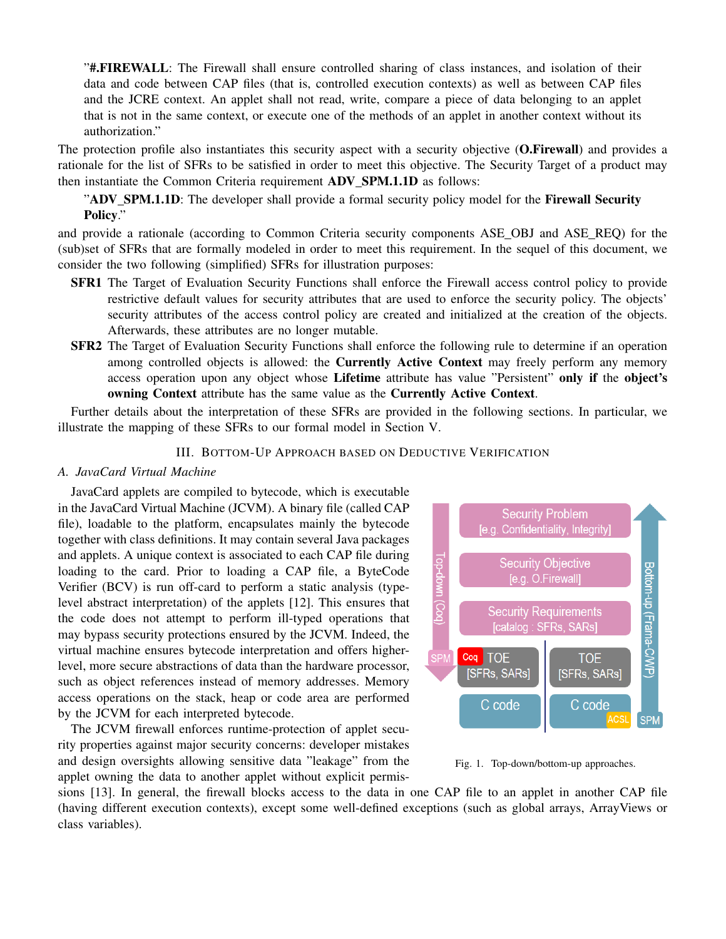"#.FIREWALL: The Firewall shall ensure controlled sharing of class instances, and isolation of their data and code between CAP files (that is, controlled execution contexts) as well as between CAP files and the JCRE context. An applet shall not read, write, compare a piece of data belonging to an applet that is not in the same context, or execute one of the methods of an applet in another context without its authorization."

The protection profile also instantiates this security aspect with a security objective (O.Firewall) and provides a rationale for the list of SFRs to be satisfied in order to meet this objective. The Security Target of a product may then instantiate the Common Criteria requirement ADV\_SPM.1.1D as follows:

"ADV SPM.1.1D: The developer shall provide a formal security policy model for the Firewall Security Policy."

and provide a rationale (according to Common Criteria security components ASE OBJ and ASE REQ) for the (sub)set of SFRs that are formally modeled in order to meet this requirement. In the sequel of this document, we consider the two following (simplified) SFRs for illustration purposes:

- SFR1 The Target of Evaluation Security Functions shall enforce the Firewall access control policy to provide restrictive default values for security attributes that are used to enforce the security policy. The objects' security attributes of the access control policy are created and initialized at the creation of the objects. Afterwards, these attributes are no longer mutable.
- SFR2 The Target of Evaluation Security Functions shall enforce the following rule to determine if an operation among controlled objects is allowed: the **Currently Active Context** may freely perform any memory access operation upon any object whose Lifetime attribute has value "Persistent" only if the object's owning Context attribute has the same value as the Currently Active Context.

Further details about the interpretation of these SFRs are provided in the following sections. In particular, we illustrate the mapping of these SFRs to our formal model in Section V.

# III. BOTTOM-UP APPROACH BASED ON DEDUCTIVE VERIFICATION

# *A. JavaCard Virtual Machine*

JavaCard applets are compiled to bytecode, which is executable in the JavaCard Virtual Machine (JCVM). A binary file (called CAP file), loadable to the platform, encapsulates mainly the bytecode together with class definitions. It may contain several Java packages and applets. A unique context is associated to each CAP file during loading to the card. Prior to loading a CAP file, a ByteCode Verifier (BCV) is run off-card to perform a static analysis (typelevel abstract interpretation) of the applets [12]. This ensures that the code does not attempt to perform ill-typed operations that may bypass security protections ensured by the JCVM. Indeed, the virtual machine ensures bytecode interpretation and offers higherlevel, more secure abstractions of data than the hardware processor, such as object references instead of memory addresses. Memory access operations on the stack, heap or code area are performed by the JCVM for each interpreted bytecode.

The JCVM firewall enforces runtime-protection of applet security properties against major security concerns: developer mistakes and design oversights allowing sensitive data "leakage" from the applet owning the data to another applet without explicit permis-



Fig. 1. Top-down/bottom-up approaches.

sions [13]. In general, the firewall blocks access to the data in one CAP file to an applet in another CAP file (having different execution contexts), except some well-defined exceptions (such as global arrays, ArrayViews or class variables).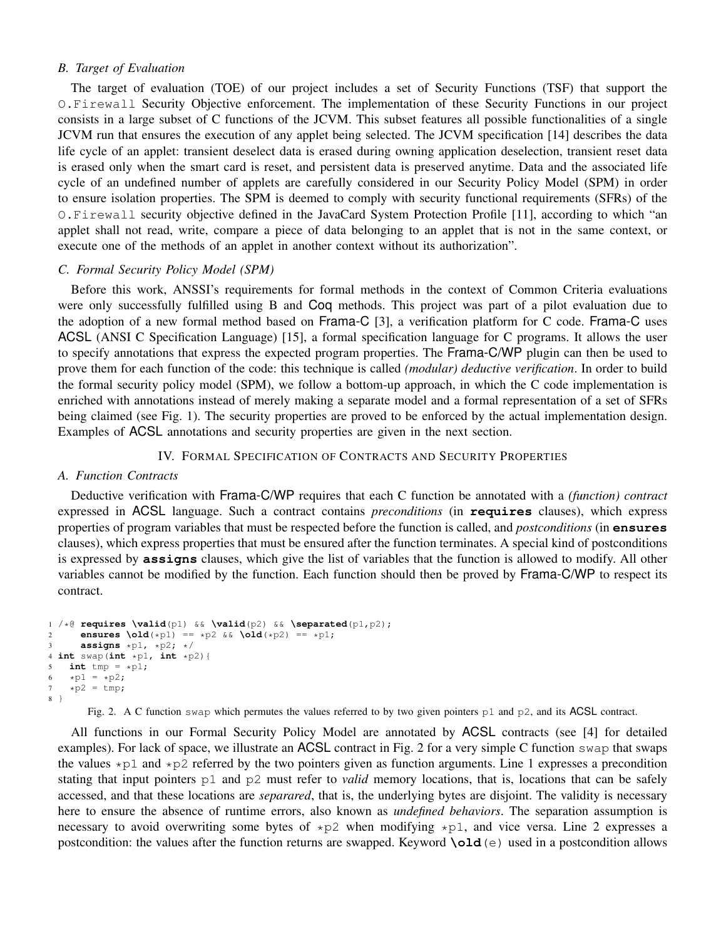#### *B. Target of Evaluation*

The target of evaluation (TOE) of our project includes a set of Security Functions (TSF) that support the O.Firewall Security Objective enforcement. The implementation of these Security Functions in our project consists in a large subset of C functions of the JCVM. This subset features all possible functionalities of a single JCVM run that ensures the execution of any applet being selected. The JCVM specification [14] describes the data life cycle of an applet: transient deselect data is erased during owning application deselection, transient reset data is erased only when the smart card is reset, and persistent data is preserved anytime. Data and the associated life cycle of an undefined number of applets are carefully considered in our Security Policy Model (SPM) in order to ensure isolation properties. The SPM is deemed to comply with security functional requirements (SFRs) of the O.Firewall security objective defined in the JavaCard System Protection Profile [11], according to which "an applet shall not read, write, compare a piece of data belonging to an applet that is not in the same context, or execute one of the methods of an applet in another context without its authorization".

# *C. Formal Security Policy Model (SPM)*

Before this work, ANSSI's requirements for formal methods in the context of Common Criteria evaluations were only successfully fulfilled using B and Coq methods. This project was part of a pilot evaluation due to the adoption of a new formal method based on Frama-C [3], a verification platform for C code. Frama-C uses ACSL (ANSI C Specification Language) [15], a formal specification language for C programs. It allows the user to specify annotations that express the expected program properties. The Frama-C/WP plugin can then be used to prove them for each function of the code: this technique is called *(modular) deductive verification*. In order to build the formal security policy model (SPM), we follow a bottom-up approach, in which the C code implementation is enriched with annotations instead of merely making a separate model and a formal representation of a set of SFRs being claimed (see Fig. 1). The security properties are proved to be enforced by the actual implementation design. Examples of ACSL annotations and security properties are given in the next section.

IV. FORMAL SPECIFICATION OF CONTRACTS AND SECURITY PROPERTIES

# *A. Function Contracts*

Deductive verification with Frama-C/WP requires that each C function be annotated with a *(function) contract* expressed in ACSL language. Such a contract contains *preconditions* (in **requires** clauses), which express properties of program variables that must be respected before the function is called, and *postconditions* (in **ensures** clauses), which express properties that must be ensured after the function terminates. A special kind of postconditions is expressed by **assigns** clauses, which give the list of variables that the function is allowed to modify. All other variables cannot be modified by the function. Each function should then be proved by Frama-C/WP to respect its contract.

```
1 / * @ requires \valid(p1) && \valid(p2) && \separated(p1, p2);<br>2 ensures \old(*p1) == *p2 && \old(*p2) == *p1;ensures \delta \left( \star p1 \right) = \star p2 && \delta \left( \star p2 \right) = \star p1;3 assigns *p1, *p2; */
4 int swap(int *p1, int *p2){
5 int tmp = *p1;6 \starp1 = \starp2;
7 \times p2 = tmp;8 }
```
Fig. 2. A C function swap which permutes the values referred to by two given pointers p1 and p2, and its ACSL contract.

All functions in our Formal Security Policy Model are annotated by ACSL contracts (see [4] for detailed examples). For lack of space, we illustrate an ACSL contract in Fig. 2 for a very simple C function swap that swaps the values  $\star$ p1 and  $\star$ p2 referred by the two pointers given as function arguments. Line 1 expresses a precondition stating that input pointers p1 and p2 must refer to *valid* memory locations, that is, locations that can be safely accessed, and that these locations are *separared*, that is, the underlying bytes are disjoint. The validity is necessary here to ensure the absence of runtime errors, also known as *undefined behaviors*. The separation assumption is necessary to avoid overwriting some bytes of  $\star p2$  when modifying  $\star p1$ , and vice versa. Line 2 expresses a postcondition: the values after the function returns are swapped. Keyword **\old**(e) used in a postcondition allows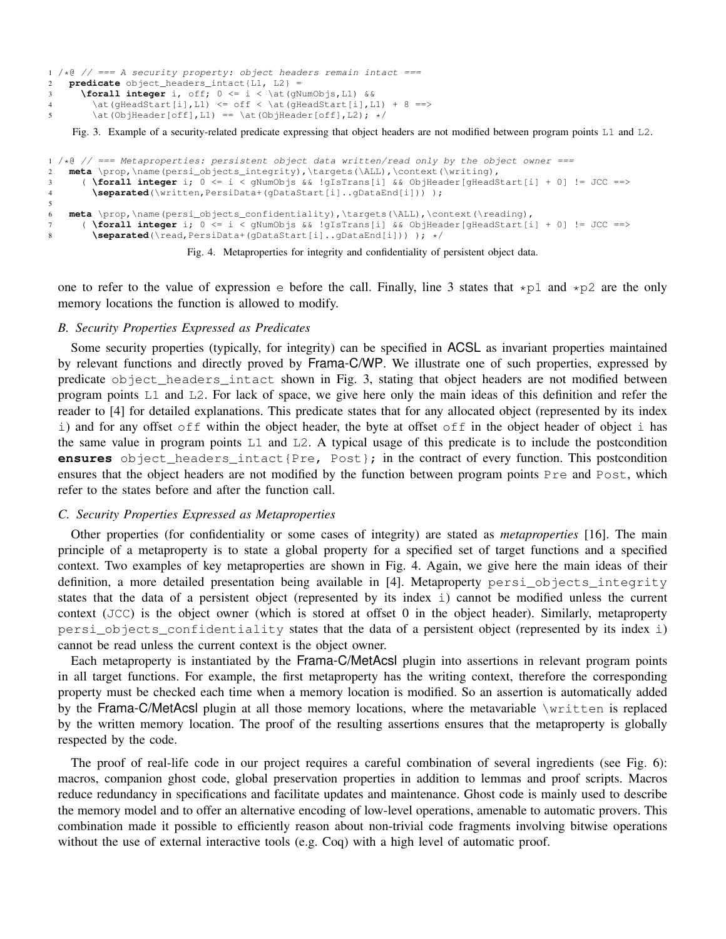```
1 / * @ // == A security property: object headers remain intact == 2 predicate object is placed in the image.2 predicate object_headers_intact{L1, L2} =
3 \forall integer i, off; 0 <= i < \at(gNumObjs,L1) &&
\left( \text{gHeadStart}[i], L1 \right) \le \text{gHeadStart}[i], L1) + 8 ==\at{ObjHeader[off], L1} = \at{ObjHeader[off], L2}; */
```
Fig. 3. Example of a security-related predicate expressing that object headers are not modified between program points L1 and L2.

```
1 /*\theta // === Metaproperties: persistent object data written/read only by the object owner ===<br>2 meta \prop,\name(persi objects integrity),\targets(\ALL),\context(\writing),
    2 meta \prop,\name(persi_objects_integrity),\targets(\ALL),\context(\writing),
3 ( \forall integer i; 0 <= i < gNumObjs && !gIsTrans[i] && ObjHeader[gHeadStart[i] + 0] != JCC ==>
4 \separated(\written,PersiData+(gDataStart[i]..gDataEnd[i])) );
5
6 meta \prop,\name(persi_objects_confidentiality),\targets(\ALL),\context(\reading),
7 ( \forall integer i; 0 <= i < gNumObjs && !gIsTrans[i] && ObjHeader[gHeadStart[i] + 0] != JCC ==>
8 \separated(\read,PersiData+(gDataStart[i]..gDataEnd[i])) ); */
```


one to refer to the value of expression  $\epsilon$  before the call. Finally, line 3 states that  $\star$ p1 and  $\star$ p2 are the only memory locations the function is allowed to modify.

## *B. Security Properties Expressed as Predicates*

Some security properties (typically, for integrity) can be specified in ACSL as invariant properties maintained by relevant functions and directly proved by Frama-C/WP. We illustrate one of such properties, expressed by predicate object\_headers\_intact shown in Fig. 3, stating that object headers are not modified between program points L1 and L2. For lack of space, we give here only the main ideas of this definition and refer the reader to [4] for detailed explanations. This predicate states that for any allocated object (represented by its index i) and for any offset off within the object header, the byte at offset off in the object header of object i has the same value in program points L1 and L2. A typical usage of this predicate is to include the postcondition **ensures** object\_headers\_intact{Pre, Post}; in the contract of every function. This postcondition ensures that the object headers are not modified by the function between program points Pre and Post, which refer to the states before and after the function call.

# *C. Security Properties Expressed as Metaproperties*

Other properties (for confidentiality or some cases of integrity) are stated as *metaproperties* [16]. The main principle of a metaproperty is to state a global property for a specified set of target functions and a specified context. Two examples of key metaproperties are shown in Fig. 4. Again, we give here the main ideas of their definition, a more detailed presentation being available in [4]. Metaproperty persi objects integrity states that the data of a persistent object (represented by its index i) cannot be modified unless the current context (JCC) is the object owner (which is stored at offset 0 in the object header). Similarly, metaproperty persi\_objects\_confidentiality states that the data of a persistent object (represented by its index i) cannot be read unless the current context is the object owner.

Each metaproperty is instantiated by the Frama-C/MetAcsl plugin into assertions in relevant program points in all target functions. For example, the first metaproperty has the writing context, therefore the corresponding property must be checked each time when a memory location is modified. So an assertion is automatically added by the Frama-C/MetAcsl plugin at all those memory locations, where the metavariable \written is replaced by the written memory location. The proof of the resulting assertions ensures that the metaproperty is globally respected by the code.

The proof of real-life code in our project requires a careful combination of several ingredients (see Fig. 6): macros, companion ghost code, global preservation properties in addition to lemmas and proof scripts. Macros reduce redundancy in specifications and facilitate updates and maintenance. Ghost code is mainly used to describe the memory model and to offer an alternative encoding of low-level operations, amenable to automatic provers. This combination made it possible to efficiently reason about non-trivial code fragments involving bitwise operations without the use of external interactive tools (e.g. Coq) with a high level of automatic proof.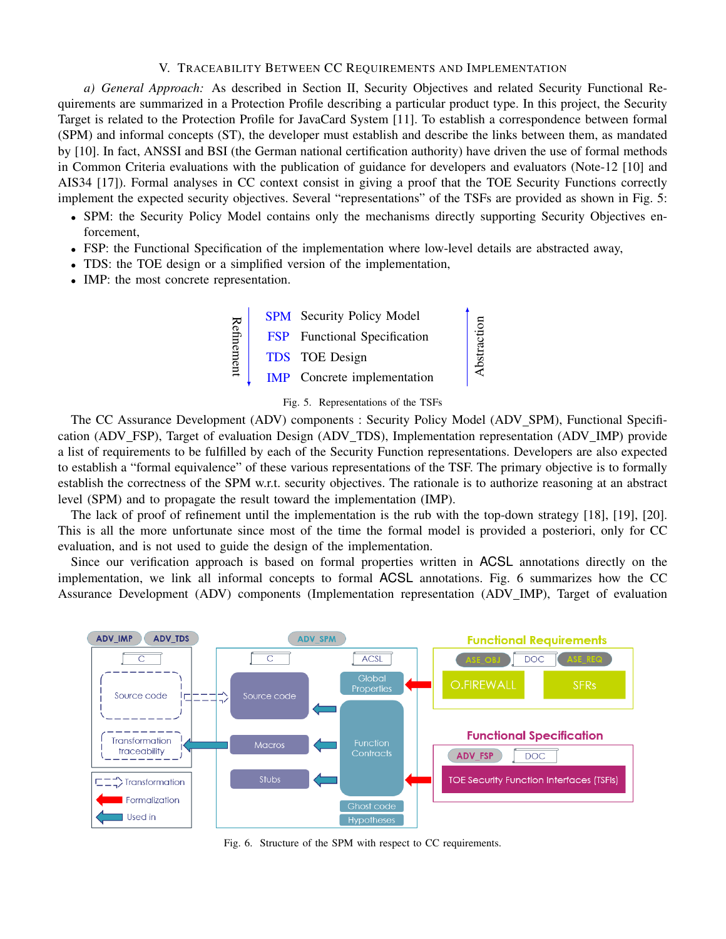## V. TRACEABILITY BETWEEN CC REQUIREMENTS AND IMPLEMENTATION

*a) General Approach:* As described in Section II, Security Objectives and related Security Functional Requirements are summarized in a Protection Profile describing a particular product type. In this project, the Security Target is related to the Protection Profile for JavaCard System [11]. To establish a correspondence between formal (SPM) and informal concepts (ST), the developer must establish and describe the links between them, as mandated by [10]. In fact, ANSSI and BSI (the German national certification authority) have driven the use of formal methods in Common Criteria evaluations with the publication of guidance for developers and evaluators (Note-12 [10] and AIS34 [17]). Formal analyses in CC context consist in giving a proof that the TOE Security Functions correctly implement the expected security objectives. Several "representations" of the TSFs are provided as shown in Fig. 5:

- SPM: the Security Policy Model contains only the mechanisms directly supporting Security Objectives enforcement,
- FSP: the Functional Specification of the implementation where low-level details are abstracted away,
- TDS: the TOE design or a simplified version of the implementation,
- IMP: the most concrete representation.





The CC Assurance Development (ADV) components : Security Policy Model (ADV SPM), Functional Specification (ADV FSP), Target of evaluation Design (ADV TDS), Implementation representation (ADV IMP) provide a list of requirements to be fulfilled by each of the Security Function representations. Developers are also expected to establish a "formal equivalence" of these various representations of the TSF. The primary objective is to formally establish the correctness of the SPM w.r.t. security objectives. The rationale is to authorize reasoning at an abstract level (SPM) and to propagate the result toward the implementation (IMP).

The lack of proof of refinement until the implementation is the rub with the top-down strategy [18], [19], [20]. This is all the more unfortunate since most of the time the formal model is provided a posteriori, only for CC evaluation, and is not used to guide the design of the implementation.

Since our verification approach is based on formal properties written in ACSL annotations directly on the implementation, we link all informal concepts to formal ACSL annotations. Fig. 6 summarizes how the CC Assurance Development (ADV) components (Implementation representation (ADV IMP), Target of evaluation



Fig. 6. Structure of the SPM with respect to CC requirements.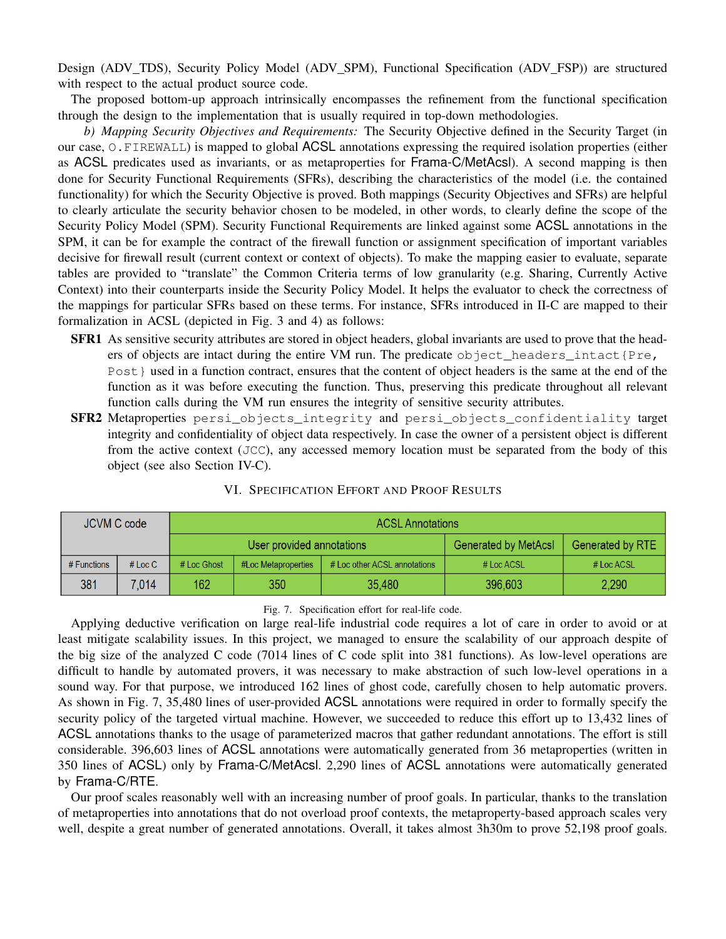Design (ADV TDS), Security Policy Model (ADV SPM), Functional Specification (ADV FSP)) are structured with respect to the actual product source code.

The proposed bottom-up approach intrinsically encompasses the refinement from the functional specification through the design to the implementation that is usually required in top-down methodologies.

*b) Mapping Security Objectives and Requirements:* The Security Objective defined in the Security Target (in our case, O.FIREWALL) is mapped to global ACSL annotations expressing the required isolation properties (either as ACSL predicates used as invariants, or as metaproperties for Frama-C/MetAcsl). A second mapping is then done for Security Functional Requirements (SFRs), describing the characteristics of the model (i.e. the contained functionality) for which the Security Objective is proved. Both mappings (Security Objectives and SFRs) are helpful to clearly articulate the security behavior chosen to be modeled, in other words, to clearly define the scope of the Security Policy Model (SPM). Security Functional Requirements are linked against some ACSL annotations in the SPM, it can be for example the contract of the firewall function or assignment specification of important variables decisive for firewall result (current context or context of objects). To make the mapping easier to evaluate, separate tables are provided to "translate" the Common Criteria terms of low granularity (e.g. Sharing, Currently Active Context) into their counterparts inside the Security Policy Model. It helps the evaluator to check the correctness of the mappings for particular SFRs based on these terms. For instance, SFRs introduced in II-C are mapped to their formalization in ACSL (depicted in Fig. 3 and 4) as follows:

- SFR1 As sensitive security attributes are stored in object headers, global invariants are used to prove that the headers of objects are intact during the entire VM run. The predicate object\_headers\_intact{Pre, Post } used in a function contract, ensures that the content of object headers is the same at the end of the function as it was before executing the function. Thus, preserving this predicate throughout all relevant function calls during the VM run ensures the integrity of sensitive security attributes.
- SFR2 Metaproperties persi objects integrity and persi objects confidentiality target integrity and confidentiality of object data respectively. In case the owner of a persistent object is different from the active context (JCC), any accessed memory location must be separated from the body of this object (see also Section IV-C).

| JCVM C code   |           | <b>ACSL Annotations</b>   |                     |                              |                             |                         |
|---------------|-----------|---------------------------|---------------------|------------------------------|-----------------------------|-------------------------|
|               |           | User provided annotations |                     |                              | <b>Generated by MetAcsl</b> | <b>Generated by RTE</b> |
| $#$ Functions | # $Loc C$ | # Loc Ghost               | #Loc Metaproperties | # Loc other ACSL annotations | $#$ Loc ACSL                | # Loc ACSL              |
| 381           | 7.014     | 162                       | 350                 | 35,480                       | 396,603                     | 2,290                   |

# VI. SPECIFICATION EFFORT AND PROOF RESULTS

#### Fig. 7. Specification effort for real-life code.

Applying deductive verification on large real-life industrial code requires a lot of care in order to avoid or at least mitigate scalability issues. In this project, we managed to ensure the scalability of our approach despite of the big size of the analyzed C code (7014 lines of C code split into 381 functions). As low-level operations are difficult to handle by automated provers, it was necessary to make abstraction of such low-level operations in a sound way. For that purpose, we introduced 162 lines of ghost code, carefully chosen to help automatic provers. As shown in Fig. 7, 35,480 lines of user-provided ACSL annotations were required in order to formally specify the security policy of the targeted virtual machine. However, we succeeded to reduce this effort up to 13,432 lines of ACSL annotations thanks to the usage of parameterized macros that gather redundant annotations. The effort is still considerable. 396,603 lines of ACSL annotations were automatically generated from 36 metaproperties (written in 350 lines of ACSL) only by Frama-C/MetAcsl. 2,290 lines of ACSL annotations were automatically generated by Frama-C/RTE.

Our proof scales reasonably well with an increasing number of proof goals. In particular, thanks to the translation of metaproperties into annotations that do not overload proof contexts, the metaproperty-based approach scales very well, despite a great number of generated annotations. Overall, it takes almost 3h30m to prove 52,198 proof goals.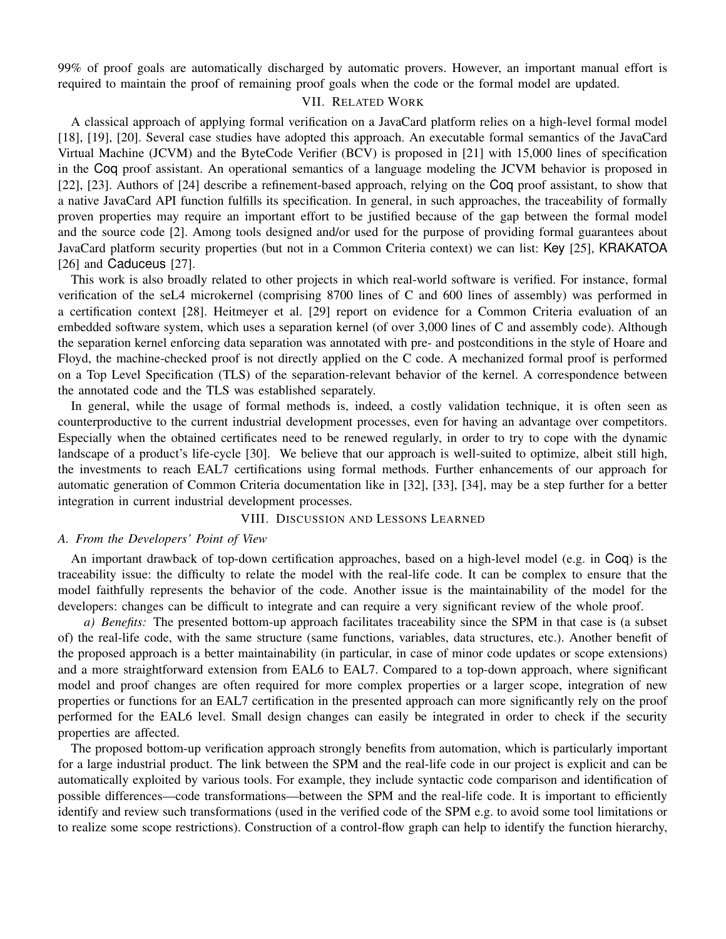99% of proof goals are automatically discharged by automatic provers. However, an important manual effort is required to maintain the proof of remaining proof goals when the code or the formal model are updated.

# VII. RELATED WORK

A classical approach of applying formal verification on a JavaCard platform relies on a high-level formal model [18], [19], [20]. Several case studies have adopted this approach. An executable formal semantics of the JavaCard Virtual Machine (JCVM) and the ByteCode Verifier (BCV) is proposed in [21] with 15,000 lines of specification in the Coq proof assistant. An operational semantics of a language modeling the JCVM behavior is proposed in [22], [23]. Authors of [24] describe a refinement-based approach, relying on the Coq proof assistant, to show that a native JavaCard API function fulfills its specification. In general, in such approaches, the traceability of formally proven properties may require an important effort to be justified because of the gap between the formal model and the source code [2]. Among tools designed and/or used for the purpose of providing formal guarantees about JavaCard platform security properties (but not in a Common Criteria context) we can list: Key [25], KRAKATOA [26] and Caduceus [27].

This work is also broadly related to other projects in which real-world software is verified. For instance, formal verification of the seL4 microkernel (comprising 8700 lines of C and 600 lines of assembly) was performed in a certification context [28]. Heitmeyer et al. [29] report on evidence for a Common Criteria evaluation of an embedded software system, which uses a separation kernel (of over 3,000 lines of C and assembly code). Although the separation kernel enforcing data separation was annotated with pre- and postconditions in the style of Hoare and Floyd, the machine-checked proof is not directly applied on the C code. A mechanized formal proof is performed on a Top Level Specification (TLS) of the separation-relevant behavior of the kernel. A correspondence between the annotated code and the TLS was established separately.

In general, while the usage of formal methods is, indeed, a costly validation technique, it is often seen as counterproductive to the current industrial development processes, even for having an advantage over competitors. Especially when the obtained certificates need to be renewed regularly, in order to try to cope with the dynamic landscape of a product's life-cycle [30]. We believe that our approach is well-suited to optimize, albeit still high, the investments to reach EAL7 certifications using formal methods. Further enhancements of our approach for automatic generation of Common Criteria documentation like in [32], [33], [34], may be a step further for a better integration in current industrial development processes.

# VIII. DISCUSSION AND LESSONS LEARNED

#### *A. From the Developers' Point of View*

An important drawback of top-down certification approaches, based on a high-level model (e.g. in Coq) is the traceability issue: the difficulty to relate the model with the real-life code. It can be complex to ensure that the model faithfully represents the behavior of the code. Another issue is the maintainability of the model for the developers: changes can be difficult to integrate and can require a very significant review of the whole proof.

*a) Benefits:* The presented bottom-up approach facilitates traceability since the SPM in that case is (a subset of) the real-life code, with the same structure (same functions, variables, data structures, etc.). Another benefit of the proposed approach is a better maintainability (in particular, in case of minor code updates or scope extensions) and a more straightforward extension from EAL6 to EAL7. Compared to a top-down approach, where significant model and proof changes are often required for more complex properties or a larger scope, integration of new properties or functions for an EAL7 certification in the presented approach can more significantly rely on the proof performed for the EAL6 level. Small design changes can easily be integrated in order to check if the security properties are affected.

The proposed bottom-up verification approach strongly benefits from automation, which is particularly important for a large industrial product. The link between the SPM and the real-life code in our project is explicit and can be automatically exploited by various tools. For example, they include syntactic code comparison and identification of possible differences—code transformations—between the SPM and the real-life code. It is important to efficiently identify and review such transformations (used in the verified code of the SPM e.g. to avoid some tool limitations or to realize some scope restrictions). Construction of a control-flow graph can help to identify the function hierarchy,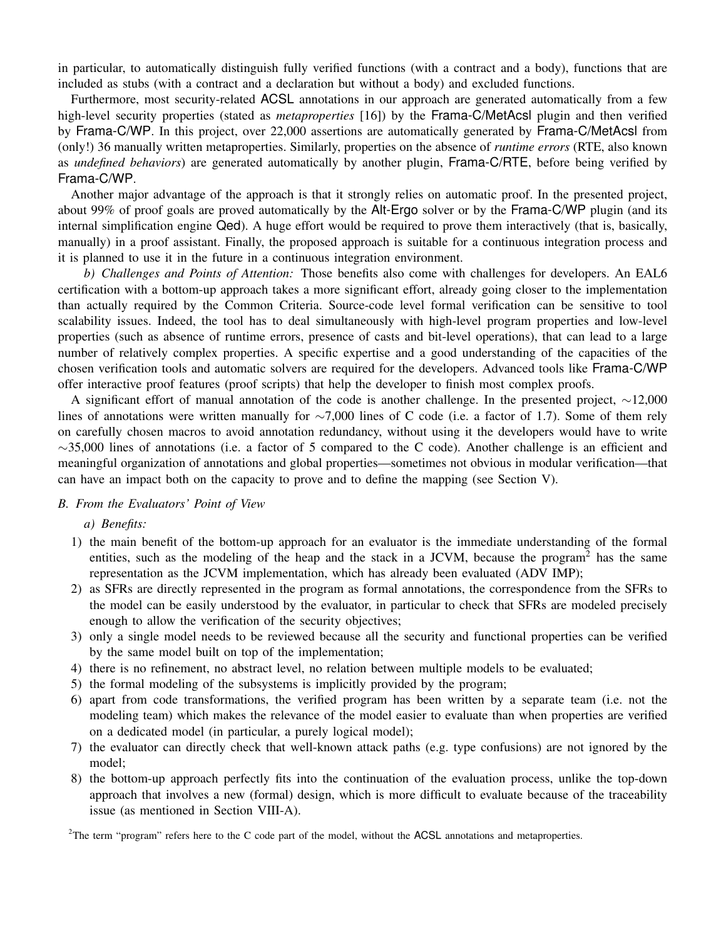in particular, to automatically distinguish fully verified functions (with a contract and a body), functions that are included as stubs (with a contract and a declaration but without a body) and excluded functions.

Furthermore, most security-related ACSL annotations in our approach are generated automatically from a few high-level security properties (stated as *metaproperties* [16]) by the Frama-C/MetAcsl plugin and then verified by Frama-C/WP. In this project, over 22,000 assertions are automatically generated by Frama-C/MetAcsl from (only!) 36 manually written metaproperties. Similarly, properties on the absence of *runtime errors* (RTE, also known as *undefined behaviors*) are generated automatically by another plugin, Frama-C/RTE, before being verified by Frama-C/WP.

Another major advantage of the approach is that it strongly relies on automatic proof. In the presented project, about 99% of proof goals are proved automatically by the Alt-Ergo solver or by the Frama-C/WP plugin (and its internal simplification engine Qed). A huge effort would be required to prove them interactively (that is, basically, manually) in a proof assistant. Finally, the proposed approach is suitable for a continuous integration process and it is planned to use it in the future in a continuous integration environment.

*b) Challenges and Points of Attention:* Those benefits also come with challenges for developers. An EAL6 certification with a bottom-up approach takes a more significant effort, already going closer to the implementation than actually required by the Common Criteria. Source-code level formal verification can be sensitive to tool scalability issues. Indeed, the tool has to deal simultaneously with high-level program properties and low-level properties (such as absence of runtime errors, presence of casts and bit-level operations), that can lead to a large number of relatively complex properties. A specific expertise and a good understanding of the capacities of the chosen verification tools and automatic solvers are required for the developers. Advanced tools like Frama-C/WP offer interactive proof features (proof scripts) that help the developer to finish most complex proofs.

A significant effort of manual annotation of the code is another challenge. In the presented project, ∼12,000 lines of annotations were written manually for ∼7,000 lines of C code (i.e. a factor of 1.7). Some of them rely on carefully chosen macros to avoid annotation redundancy, without using it the developers would have to write  $\sim$ 35,000 lines of annotations (i.e. a factor of 5 compared to the C code). Another challenge is an efficient and meaningful organization of annotations and global properties—sometimes not obvious in modular verification—that can have an impact both on the capacity to prove and to define the mapping (see Section V).

#### *B. From the Evaluators' Point of View*

#### *a) Benefits:*

- 1) the main benefit of the bottom-up approach for an evaluator is the immediate understanding of the formal entities, such as the modeling of the heap and the stack in a JCVM, because the program<sup>2</sup> has the same representation as the JCVM implementation, which has already been evaluated (ADV IMP);
- 2) as SFRs are directly represented in the program as formal annotations, the correspondence from the SFRs to the model can be easily understood by the evaluator, in particular to check that SFRs are modeled precisely enough to allow the verification of the security objectives;
- 3) only a single model needs to be reviewed because all the security and functional properties can be verified by the same model built on top of the implementation;
- 4) there is no refinement, no abstract level, no relation between multiple models to be evaluated;
- 5) the formal modeling of the subsystems is implicitly provided by the program;
- 6) apart from code transformations, the verified program has been written by a separate team (i.e. not the modeling team) which makes the relevance of the model easier to evaluate than when properties are verified on a dedicated model (in particular, a purely logical model);
- 7) the evaluator can directly check that well-known attack paths (e.g. type confusions) are not ignored by the model;
- 8) the bottom-up approach perfectly fits into the continuation of the evaluation process, unlike the top-down approach that involves a new (formal) design, which is more difficult to evaluate because of the traceability issue (as mentioned in Section VIII-A).

<sup>2</sup>The term "program" refers here to the C code part of the model, without the ACSL annotations and metaproperties.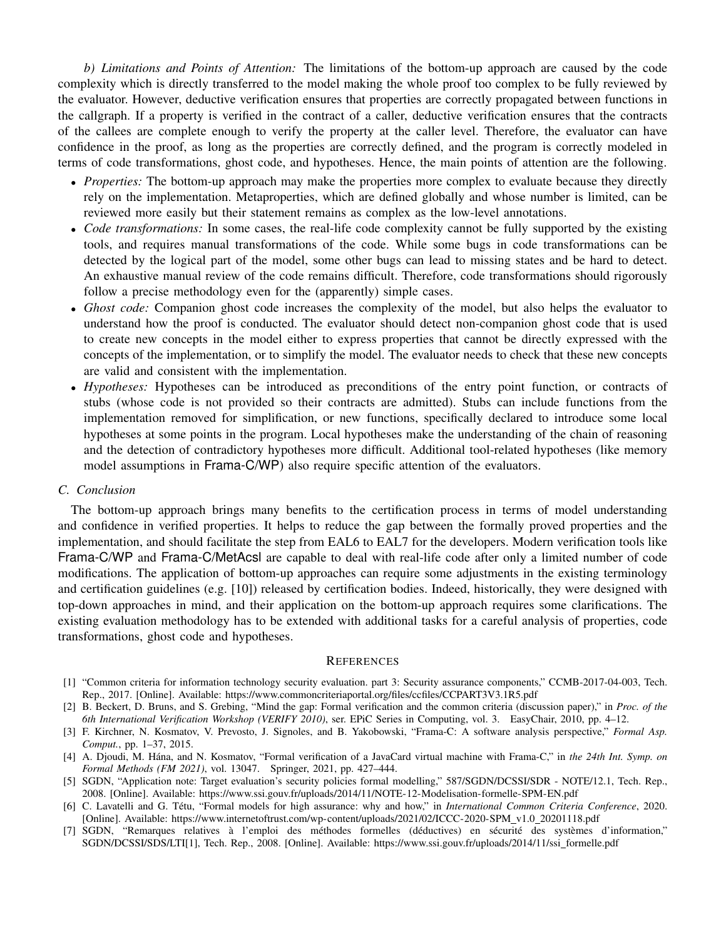*b) Limitations and Points of Attention:* The limitations of the bottom-up approach are caused by the code complexity which is directly transferred to the model making the whole proof too complex to be fully reviewed by the evaluator. However, deductive verification ensures that properties are correctly propagated between functions in the callgraph. If a property is verified in the contract of a caller, deductive verification ensures that the contracts of the callees are complete enough to verify the property at the caller level. Therefore, the evaluator can have confidence in the proof, as long as the properties are correctly defined, and the program is correctly modeled in terms of code transformations, ghost code, and hypotheses. Hence, the main points of attention are the following.

- *Properties:* The bottom-up approach may make the properties more complex to evaluate because they directly rely on the implementation. Metaproperties, which are defined globally and whose number is limited, can be reviewed more easily but their statement remains as complex as the low-level annotations.
- *Code transformations:* In some cases, the real-life code complexity cannot be fully supported by the existing tools, and requires manual transformations of the code. While some bugs in code transformations can be detected by the logical part of the model, some other bugs can lead to missing states and be hard to detect. An exhaustive manual review of the code remains difficult. Therefore, code transformations should rigorously follow a precise methodology even for the (apparently) simple cases.
- *Ghost code:* Companion ghost code increases the complexity of the model, but also helps the evaluator to understand how the proof is conducted. The evaluator should detect non-companion ghost code that is used to create new concepts in the model either to express properties that cannot be directly expressed with the concepts of the implementation, or to simplify the model. The evaluator needs to check that these new concepts are valid and consistent with the implementation.
- *Hypotheses:* Hypotheses can be introduced as preconditions of the entry point function, or contracts of stubs (whose code is not provided so their contracts are admitted). Stubs can include functions from the implementation removed for simplification, or new functions, specifically declared to introduce some local hypotheses at some points in the program. Local hypotheses make the understanding of the chain of reasoning and the detection of contradictory hypotheses more difficult. Additional tool-related hypotheses (like memory model assumptions in Frama-C/WP) also require specific attention of the evaluators.

# *C. Conclusion*

The bottom-up approach brings many benefits to the certification process in terms of model understanding and confidence in verified properties. It helps to reduce the gap between the formally proved properties and the implementation, and should facilitate the step from EAL6 to EAL7 for the developers. Modern verification tools like Frama-C/WP and Frama-C/MetAcsl are capable to deal with real-life code after only a limited number of code modifications. The application of bottom-up approaches can require some adjustments in the existing terminology and certification guidelines (e.g. [10]) released by certification bodies. Indeed, historically, they were designed with top-down approaches in mind, and their application on the bottom-up approach requires some clarifications. The existing evaluation methodology has to be extended with additional tasks for a careful analysis of properties, code transformations, ghost code and hypotheses.

#### **REFERENCES**

- [1] "Common criteria for information technology security evaluation. part 3: Security assurance components," CCMB-2017-04-003, Tech. Rep., 2017. [Online]. Available: https://www.commoncriteriaportal.org/files/ccfiles/CCPART3V3.1R5.pdf
- [2] B. Beckert, D. Bruns, and S. Grebing, "Mind the gap: Formal verification and the common criteria (discussion paper)," in *Proc. of the 6th International Verification Workshop (VERIFY 2010)*, ser. EPiC Series in Computing, vol. 3. EasyChair, 2010, pp. 4–12.
- [3] F. Kirchner, N. Kosmatov, V. Prevosto, J. Signoles, and B. Yakobowski, "Frama-C: A software analysis perspective," *Formal Asp. Comput.*, pp. 1–37, 2015.
- [4] A. Djoudi, M. Hána, and N. Kosmatov, "Formal verification of a JavaCard virtual machine with Frama-C," in the 24th Int. Symp. on *Formal Methods (FM 2021)*, vol. 13047. Springer, 2021, pp. 427–444.
- [5] SGDN, "Application note: Target evaluation's security policies formal modelling," 587/SGDN/DCSSI/SDR NOTE/12.1, Tech. Rep., 2008. [Online]. Available: https://www.ssi.gouv.fr/uploads/2014/11/NOTE-12-Modelisation-formelle-SPM-EN.pdf
- [6] C. Lavatelli and G. Tetu, "Formal models for high assurance: why and how," in ´ *International Common Criteria Conference*, 2020. [Online]. Available: https://www.internetoftrust.com/wp-content/uploads/2021/02/ICCC-2020-SPM\_v1.0\_20201118.pdf
- [7] SGDN, "Remarques relatives à l'emploi des méthodes formelles (déductives) en sécurité des systèmes d'information," SGDN/DCSSI/SDS/LTI[1], Tech. Rep., 2008. [Online]. Available: https://www.ssi.gouv.fr/uploads/2014/11/ssi formelle.pdf